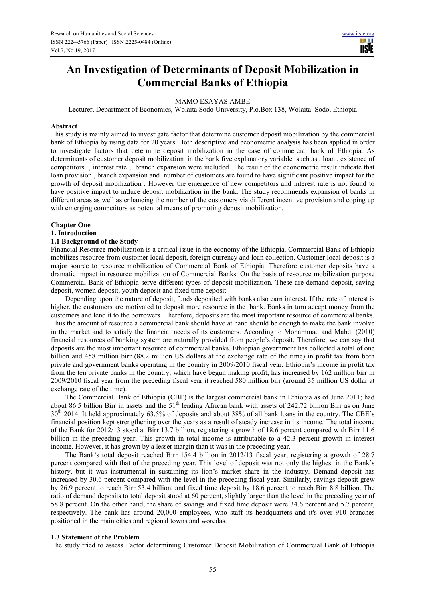# **An Investigation of Determinants of Deposit Mobilization in Commercial Banks of Ethiopia**

# MAMO ESAYAS AMBE

Lecturer, Department of Economics, Wolaita Sodo University, P.o.Box 138, Wolaita Sodo, Ethiopia

#### **Abstract**

This study is mainly aimed to investigate factor that determine customer deposit mobilization by the commercial bank of Ethiopia by using data for 20 years. Both descriptive and econometric analysis has been applied in order to investigate factors that determine deposit mobilization in the case of commercial bank of Ethiopia. As determinants of customer deposit mobilization in the bank five explanatory variable such as , loan , existence of competitors , interest rate , branch expansion were included .The result of the econometric result indicate that loan provision , branch expansion and number of customers are found to have significant positive impact for the growth of deposit mobilization . However the emergence of new competitors and interest rate is not found to have positive impact to induce deposit mobilization in the bank. The study recommends expansion of banks in different areas as well as enhancing the number of the customers via different incentive provision and coping up with emerging competitors as potential means of promoting deposit mobilization.

#### **Chapter One**

## **1. Introduction**

## **1.1 Background of the Study**

Financial Resource mobilization is a critical issue in the economy of the Ethiopia. Commercial Bank of Ethiopia mobilizes resource from customer local deposit, foreign currency and loan collection. Customer local deposit is a major source to resource mobilization of Commercial Bank of Ethiopia. Therefore customer deposits have a dramatic impact in resource mobilization of Commercial Banks. On the basis of resource mobilization purpose Commercial Bank of Ethiopia serve different types of deposit mobilization. These are demand deposit, saving deposit, women deposit, youth deposit and fixed time deposit.

Depending upon the nature of deposit, funds deposited with banks also earn interest. If the rate of interest is higher, the customers are motivated to deposit more resource in the bank. Banks in turn accept money from the customers and lend it to the borrowers. Therefore, deposits are the most important resource of commercial banks. Thus the amount of resource a commercial bank should have at hand should be enough to make the bank involve in the market and to satisfy the financial needs of its customers. According to Mohammad and Mahdi (2010) financial resources of banking system are naturally provided from people's deposit. Therefore, we can say that deposits are the most important resource of commercial banks. Ethiopian government has collected a total of one billion and 458 million birr (88.2 million US dollars at the exchange rate of the time) in profit tax from both private and government banks operating in the country in 2009/2010 fiscal year. Ethiopia's income in profit tax from the ten private banks in the country, which have begun making profit, has increased by 162 million birr in 2009/2010 fiscal year from the preceding fiscal year it reached 580 million birr (around 35 million US dollar at exchange rate of the time).

The Commercial Bank of Ethiopia (CBE) is the largest commercial bank in Ethiopia as of June 2011; had about 86.5 billion Birr in assets and the 51<sup>th</sup> leading African bank with assets of 242.72 billion Birr as on June 30<sup>th</sup> 2014. It held approximately 63.5% of deposits and about 38% of all bank loans in the country. The CBE's financial position kept strengthening over the years as a result of steady increase in its income. The total income of the Bank for 2012/13 stood at Birr 13.7 billion, registering a growth of 18.6 percent compared with Birr 11.6 billion in the preceding year. This growth in total income is attributable to a 42.3 percent growth in interest income. However, it has grown by a lesser margin than it was in the preceding year.

The Bank's total deposit reached Birr 154.4 billion in 2012/13 fiscal year, registering a growth of 28.7 percent compared with that of the preceding year. This level of deposit was not only the highest in the Bank's history, but it was instrumental in sustaining its lion's market share in the industry. Demand deposit has increased by 30.6 percent compared with the level in the preceding fiscal year. Similarly, savings deposit grew by 26.9 percent to reach Birr 53.4 billion, and fixed time deposit by 18.6 percent to reach Birr 8.8 billion. The ratio of demand deposits to total deposit stood at 60 percent, slightly larger than the level in the preceding year of 58.8 percent. On the other hand, the share of savings and fixed time deposit were 34.6 percent and 5.7 percent, respectively. The bank has around 20,000 employees, who staff its headquarters and it's over 910 branches positioned in the main cities and regional towns and woredas.

## **1.3 Statement of the Problem**

The study tried to assess Factor determining Customer Deposit Mobilization of Commercial Bank of Ethiopia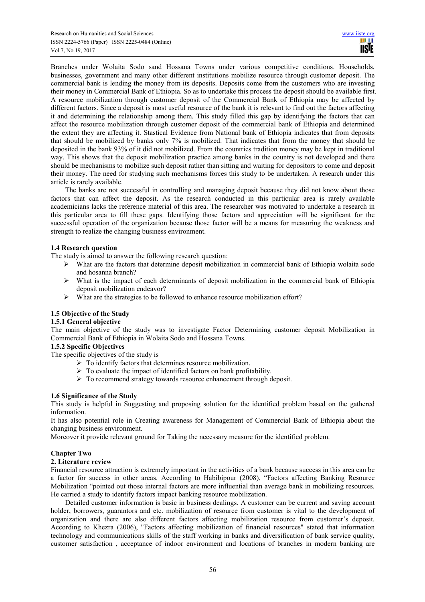Branches under Wolaita Sodo sand Hossana Towns under various competitive conditions. Households, businesses, government and many other different institutions mobilize resource through customer deposit. The commercial bank is lending the money from its deposits. Deposits come from the customers who are investing their money in Commercial Bank of Ethiopia. So as to undertake this process the deposit should be available first. A resource mobilization through customer deposit of the Commercial Bank of Ethiopia may be affected by different factors. Since a deposit is most useful resource of the bank it is relevant to find out the factors affecting it and determining the relationship among them. This study filled this gap by identifying the factors that can affect the resource mobilization through customer deposit of the commercial bank of Ethiopia and determined the extent they are affecting it. Stastical Evidence from National bank of Ethiopia indicates that from deposits that should be mobilized by banks only 7% is mobilized. That indicates that from the money that should be deposited in the bank 93% of it did not mobilized. From the countries tradition money may be kept in traditional way. This shows that the deposit mobilization practice among banks in the country is not developed and there should be mechanisms to mobilize such deposit rather than sitting and waiting for depositors to come and deposit their money. The need for studying such mechanisms forces this study to be undertaken. A research under this article is rarely available.

The banks are not successful in controlling and managing deposit because they did not know about those factors that can affect the deposit. As the research conducted in this particular area is rarely available academicians lacks the reference material of this area. The researcher was motivated to undertake a research in this particular area to fill these gaps. Identifying those factors and appreciation will be significant for the successful operation of the organization because those factor will be a means for measuring the weakness and strength to realize the changing business environment.

# **1.4 Research question**

The study is aimed to answer the following research question:

- What are the factors that determine deposit mobilization in commercial bank of Ethiopia wolaita sodo and hosanna branch?
- $\triangleright$  What is the impact of each determinants of deposit mobilization in the commercial bank of Ethiopia deposit mobilization endeavor?
- $\triangleright$  What are the strategies to be followed to enhance resource mobilization effort?

# **1.5 Objective of the Study**

# **1.5.1 General objective**

The main objective of the study was to investigate Factor Determining customer deposit Mobilization in Commercial Bank of Ethiopia in Wolaita Sodo and Hossana Towns.

## **1.5.2 Specific Objectives**

The specific objectives of the study is

- $\triangleright$  To identify factors that determines resource mobilization.
- $\triangleright$  To evaluate the impact of identified factors on bank profitability.
- $\triangleright$  To recommend strategy towards resource enhancement through deposit.

# **1.6 Significance of the Study**

This study is helpful in Suggesting and proposing solution for the identified problem based on the gathered information.

It has also potential role in Creating awareness for Management of Commercial Bank of Ethiopia about the changing business environment.

Moreover it provide relevant ground for Taking the necessary measure for the identified problem.

# **Chapter Two**

## **2. Literature review**

Financial resource attraction is extremely important in the activities of a bank because success in this area can be a factor for success in other areas. According to Habibipour (2008), "Factors affecting Banking Resource Mobilization "pointed out those internal factors are more influential than average bank in mobilizing resources. He carried a study to identify factors impact banking resource mobilization.

Detailed customer information is basic in business dealings. A customer can be current and saving account holder, borrowers, guarantors and etc. mobilization of resource from customer is vital to the development of organization and there are also different factors affecting mobilization resource from customer's deposit. According to Khezra (2006), "Factors affecting mobilization of financial resources" stated that information technology and communications skills of the staff working in banks and diversification of bank service quality, customer satisfaction , acceptance of indoor environment and locations of branches in modern banking are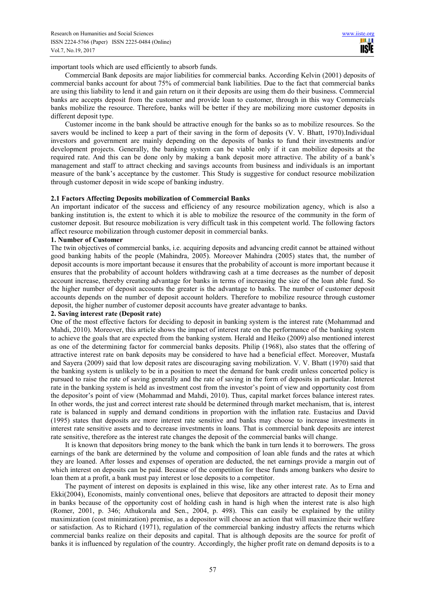important tools which are used efficiently to absorb funds.

Commercial Bank deposits are major liabilities for commercial banks. According Kelvin (2001) deposits of commercial banks account for about 75% of commercial bank liabilities. Due to the fact that commercial banks are using this liability to lend it and gain return on it their deposits are using them do their business. Commercial banks are accepts deposit from the customer and provide loan to customer, through in this way Commercials banks mobilize the resource. Therefore, banks will be better if they are mobilizing more customer deposits in different deposit type.

Customer income in the bank should be attractive enough for the banks so as to mobilize resources. So the savers would be inclined to keep a part of their saving in the form of deposits (V. V. Bhatt, 1970).Individual investors and government are mainly depending on the deposits of banks to fund their investments and/or development projects. Generally, the banking system can be viable only if it can mobilize deposits at the required rate. And this can be done only by making a bank deposit more attractive. The ability of a bank's management and staff to attract checking and savings accounts from business and individuals is an important measure of the bank's acceptance by the customer. This Study is suggestive for conduct resource mobilization through customer deposit in wide scope of banking industry.

## **2.1 Factors Affecting Deposits mobilization of Commercial Banks**

An important indicator of the success and efficiency of any resource mobilization agency, which is also a banking institution is, the extent to which it is able to mobilize the resource of the community in the form of customer deposit. But resource mobilization is very difficult task in this competent world. The following factors affect resource mobilization through customer deposit in commercial banks.

## **1. Number of Customer**

The twin objectives of commercial banks, i.e. acquiring deposits and advancing credit cannot be attained without good banking habits of the people (Mahindra, 2005). Moreover Mahindra (2005) states that, the number of deposit accounts is more important because it ensures that the probability of account is more important because it ensures that the probability of account holders withdrawing cash at a time decreases as the number of deposit account increase, thereby creating advantage for banks in terms of increasing the size of the loan able fund. So the higher number of deposit accounts the greater is the advantage to banks. The number of customer deposit accounts depends on the number of deposit account holders. Therefore to mobilize resource through customer deposit, the higher number of customer deposit accounts have greater advantage to banks.

## **2. Saving interest rate (Deposit rate)**

One of the most effective factors for deciding to deposit in banking system is the interest rate (Mohammad and Mahdi, 2010). Moreover, this article shows the impact of interest rate on the performance of the banking system to achieve the goals that are expected from the banking system. Herald and Heiko (2009) also mentioned interest as one of the determining factor for commercial banks deposits. Philip (1968), also states that the offering of attractive interest rate on bank deposits may be considered to have had a beneficial effect. Moreover, Mustafa and Sayera (2009) said that low deposit rates are discouraging saving mobilization. V. V. Bhatt (1970) said that the banking system is unlikely to be in a position to meet the demand for bank credit unless concerted policy is pursued to raise the rate of saving generally and the rate of saving in the form of deposits in particular. Interest rate in the banking system is held as investment cost from the investor's point of view and opportunity cost from the depositor's point of view (Mohammad and Mahdi, 2010). Thus, capital market forces balance interest rates. In other words, the just and correct interest rate should be determined through market mechanism, that is, interest rate is balanced in supply and demand conditions in proportion with the inflation rate. Eustacius and David (1995) states that deposits are more interest rate sensitive and banks may choose to increase investments in interest rate sensitive assets and to decrease investments in loans. That is commercial bank deposits are interest rate sensitive, therefore as the interest rate changes the deposit of the commercial banks will change.

It is known that depositors bring money to the bank which the bank in turn lends it to borrowers. The gross earnings of the bank are determined by the volume and composition of loan able funds and the rates at which they are loaned. After losses and expenses of operation are deducted, the net earnings provide a margin out of which interest on deposits can be paid. Because of the competition for these funds among bankers who desire to loan them at a profit, a bank must pay interest or lose deposits to a competitor.

The payment of interest on deposits is explained in this wise, like any other interest rate. As to Erna and Ekki(2004), Economists, mainly conventional ones, believe that depositors are attracted to deposit their money in banks because of the opportunity cost of holding cash in hand is high when the interest rate is also high (Romer, 2001, p. 346; Athukorala and Sen., 2004, p. 498). This can easily be explained by the utility maximization (cost minimization) premise, as a depositor will choose an action that will maximize their welfare or satisfaction. As to Richard (1971), regulation of the commercial banking industry affects the returns which commercial banks realize on their deposits and capital. That is although deposits are the source for profit of banks it is influenced by regulation of the country. Accordingly, the higher profit rate on demand deposits is to a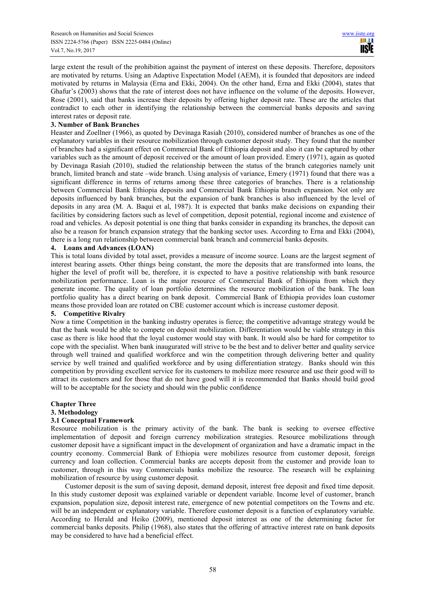large extent the result of the prohibition against the payment of interest on these deposits. Therefore, depositors are motivated by returns. Using an Adaptive Expectation Model (AEM), it is founded that depositors are indeed motivated by returns in Malaysia (Erna and Ekki, 2004). On the other hand, Erna and Ekki (2004), states that Ghafur's (2003) shows that the rate of interest does not have influence on the volume of the deposits. However, Rose (2001), said that banks increase their deposits by offering higher deposit rate. These are the articles that contradict to each other in identifying the relationship between the commercial banks deposits and saving interest rates or deposit rate.

# **3. Number of Bank Branches**

Heaster and Zoellner (1966), as quoted by Devinaga Rasiah (2010), considered number of branches as one of the explanatory variables in their resource mobilization through customer deposit study. They found that the number of branches had a significant effect on Commercial Bank of Ethiopia deposit and also it can be captured by other variables such as the amount of deposit received or the amount of loan provided. Emery (1971), again as quoted by Devinaga Rasiah (2010), studied the relationship between the status of the branch categories namely unit branch, limited branch and state –wide branch. Using analysis of variance, Emery (1971) found that there was a significant difference in terms of returns among these three categories of branches. There is a relationship between Commercial Bank Ethiopia deposits and Commercial Bank Ethiopia branch expansion. Not only are deposits influenced by bank branches, but the expansion of bank branches is also influenced by the level of deposits in any area (M. A. Baqui et al, 1987). It is expected that banks make decisions on expanding their facilities by considering factors such as level of competition, deposit potential, regional income and existence of road and vehicles. As deposit potential is one thing that banks consider in expanding its branches, the deposit can also be a reason for branch expansion strategy that the banking sector uses. According to Erna and Ekki (2004), there is a long run relationship between commercial bank branch and commercial banks deposits.

# **4. Loans and Advances (LOAN)**

This is total loans divided by total asset, provides a measure of income source. Loans are the largest segment of interest bearing assets. Other things being constant, the more the deposits that are transformed into loans, the higher the level of profit will be, therefore, it is expected to have a positive relationship with bank resource mobilization performance. Loan is the major resource of Commercial Bank of Ethiopia from which they generate income. The quality of loan portfolio determines the resource mobilization of the bank. The loan portfolio quality has a direct bearing on bank deposit. Commercial Bank of Ethiopia provides loan customer means those provided loan are rotated on CBE customer account which is increase customer deposit.

# **5. Competitive Rivalry**

Now a time Competition in the banking industry operates is fierce; the competitive advantage strategy would be that the bank would be able to compete on deposit mobilization. Differentiation would be viable strategy in this case as there is like hood that the loyal customer would stay with bank. It would also be hard for competitor to cope with the specialist. When bank inaugurated will strive to be the best and to deliver better and quality service through well trained and qualified workforce and win the competition through delivering better and quality service by well trained and qualified workforce and by using differentiation strategy. Banks should win this competition by providing excellent service for its customers to mobilize more resource and use their good will to attract its customers and for those that do not have good will it is recommended that Banks should build good will to be acceptable for the society and should win the public confidence

# **Chapter Three**

## **3. Methodology**

# **3.1 Conceptual Framework**

Resource mobilization is the primary activity of the bank. The bank is seeking to oversee effective implementation of deposit and foreign currency mobilization strategies. Resource mobilizations through customer deposit have a significant impact in the development of organization and have a dramatic impact in the country economy. Commercial Bank of Ethiopia were mobilizes resource from customer deposit, foreign currency and loan collection. Commercial banks are accepts deposit from the customer and provide loan to customer, through in this way Commercials banks mobilize the resource. The research will be explaining mobilization of resource by using customer deposit.

Customer deposit is the sum of saving deposit, demand deposit, interest free deposit and fixed time deposit. In this study customer deposit was explained variable or dependent variable. Income level of customer, branch expansion, population size, deposit interest rate, emergence of new potential competitors on the Towns and etc. will be an independent or explanatory variable. Therefore customer deposit is a function of explanatory variable. According to Herald and Heiko (2009), mentioned deposit interest as one of the determining factor for commercial banks deposits. Philip (1968), also states that the offering of attractive interest rate on bank deposits may be considered to have had a beneficial effect.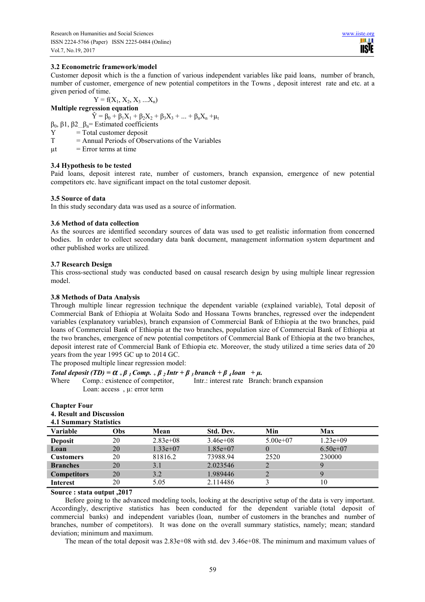m **TISIE** 

## **3.2 Econometric framework/model**

Customer deposit which is the a function of various independent variables like paid loans, number of branch, number of customer, emergence of new potential competitors in the Towns , deposit interest rate and etc. at a given period of time.

 $Y = f(X_1, X_2, X_3, \ldots, X_n)$ 

**Multiple regression equation** 

$$
\hat{Y} = \beta_0 + \beta_1 X_1 + \beta_2 X_2 + \beta_3 X_3 + \dots + \beta_n X_n + \mu_t
$$

- β0, β1, β2....βn= Estimated coefficients
- $Y = Total customer deposit$
- $T =$  Annual Periods of Observations of the Variables
- $ut = Error terms at time$

## **3.4 Hypothesis to be tested**

Paid loans, deposit interest rate, number of customers, branch expansion, emergence of new potential competitors etc. have significant impact on the total customer deposit.

## **3.5 Source of data**

In this study secondary data was used as a source of information.

## **3.6 Method of data collection**

As the sources are identified secondary sources of data was used to get realistic information from concerned bodies. In order to collect secondary data bank document, management information system department and other published works are utilized.

## **3.7 Research Design**

This cross-sectional study was conducted based on causal research design by using multiple linear regression model.

## **3.8 Methods of Data Analysis**

Through multiple linear regression technique the dependent variable (explained variable), Total deposit of Commercial Bank of Ethiopia at Wolaita Sodo and Hossana Towns branches, regressed over the independent variables (explanatory variables), branch expansion of Commercial Bank of Ethiopia at the two branches, paid loans of Commercial Bank of Ethiopia at the two branches, population size of Commercial Bank of Ethiopia at the two branches, emergence of new potential competitors of Commercial Bank of Ethiopia at the two branches, deposit interest rate of Commercial Bank of Ethiopia etc. Moreover, the study utilized a time series data of 20 years from the year 1995 GC up to 2014 GC.

The proposed multiple linear regression model:

# *Total deposit (TD)* =  $\alpha + \beta$  *i Comp.*  $+\beta$  *i Intr* +  $\beta$  *i branch* +  $\beta$  *i loan* +  $\mu$ .

Where Comp.: existence of competitor, Intr.: interest rate Branch: branch expansion Loan: access , u: error term

**4. Result and Discussion** 

| <b>4.1 Summary Statistics</b> |     |             |            |            |            |  |  |
|-------------------------------|-----|-------------|------------|------------|------------|--|--|
| <b>Variable</b>               | Obs | Mean        | Std. Dev.  | Min        | <b>Max</b> |  |  |
| <b>Deposit</b>                | 20  | $2.83e+0.8$ | $3.46e+08$ | $5.00e+07$ | $1.23e+09$ |  |  |
| Loan                          | 20  | $1.33e+07$  | $1.85e+07$ | $\theta$   | $6.50e+07$ |  |  |
| <b>Customers</b>              | 20  | 81816.2     | 73988.94   | 2520       | 230000     |  |  |
| <b>Branches</b>               | 20  | 3.1         | 2.023546   | 2          | 9          |  |  |
| <b>Competitors</b>            | 20  | 3.2         | 1.989446   |            |            |  |  |
| <b>Interest</b>               | 20  | 5.05        | 2.114486   |            | 10         |  |  |

## **Source : stata output ,2017**

Before going to the advanced modeling tools, looking at the descriptive setup of the data is very important. Accordingly, descriptive statistics has been conducted for the dependent variable (total deposit of commercial banks) and independent variables (loan, number of customers in the branches and number of branches, number of competitors). It was done on the overall summary statistics, namely; mean; standard deviation; minimum and maximum.

The mean of the total deposit was 2.83e+08 with std. dev 3.46e+08. The minimum and maximum values of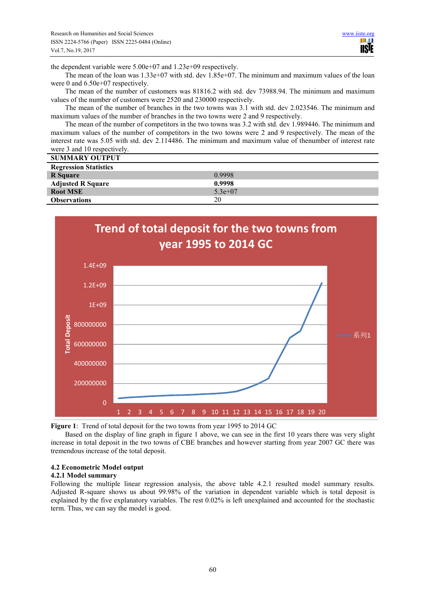the dependent variable were 5.00e+07 and 1.23e+09 respectively.

The mean of the loan was 1.33e+07 with std. dev 1.85e+07. The minimum and maximum values of the loan were 0 and 6.50e+07 respectively.

The mean of the number of customers was 81816.2 with std. dev 73988.94. The minimum and maximum values of the number of customers were 2520 and 230000 respectively.

The mean of the number of branches in the two towns was 3.1 with std. dev 2.023546. The minimum and maximum values of the number of branches in the two towns were 2 and 9 respectively.

The mean of the number of competitors in the two towns was 3.2 with std. dev 1.989446. The minimum and maximum values of the number of competitors in the two towns were 2 and 9 respectively. The mean of the interest rate was 5.05 with std. dev 2.114486. The minimum and maximum value of thenumber of interest rate were 3 and 10 respectively.

| <b>SUMMARY OUTPUT</b>        |           |
|------------------------------|-----------|
| <b>Regression Statistics</b> |           |
| R Square                     | 0.9998    |
| <b>Adjusted R Square</b>     | 0.9998    |
| <b>Root MSE</b>              | $5.3e+07$ |
| <b>Observations</b>          | 20        |



**Figure 1**: Trend of total deposit for the two towns from year 1995 to 2014 GC

Based on the display of line graph in figure 1 above, we can see in the first 10 years there was very slight increase in total deposit in the two towns of CBE branches and however starting from year 2007 GC there was tremendous increase of the total deposit.

# **4.2 Econometric Model output**

## **4.2.1 Model summary**

Following the multiple linear regression analysis, the above table 4.2.1 resulted model summary results. Adjusted R-square shows us about 99.98% of the variation in dependent variable which is total deposit is explained by the five explanatory variables. The rest 0.02% is left unexplained and accounted for the stochastic term. Thus, we can say the model is good.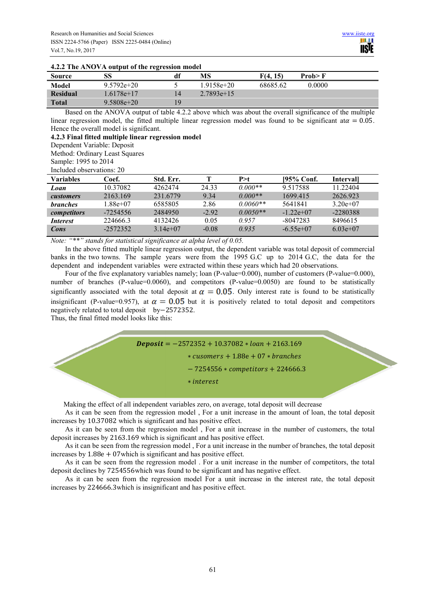| <b>Source</b>   | SS             | df             | MS            | F(4, 15) | Prob > F |
|-----------------|----------------|----------------|---------------|----------|----------|
| Model           | $9.5792e + 20$ |                | $.9158e + 20$ | 68685.62 | 0.0000   |
| <b>Residual</b> | .6178e+17      |                | $2.7893e+15$  |          |          |
| <b>Total</b>    | $9.5808e + 20$ | $\overline{Q}$ |               |          |          |

# **4.2.2 The ANOVA output of the regression model**

Based on the ANOVA output of table 4.2.2 above which was about the overall significance of the multiple linear regression model, the fitted multiple linear regression model was found to be significant at  $\alpha = 0.05$ . Hence the overall model is significant.

**4.2.3 Final fitted multiple linear regression model**

Method: Ordinary Least Squares

Sample: 1995 to 2014

Included observations: 20

| <b>Variables</b> | Coef.      | Std. Err.  |         | P > t      | $195%$ Conf. | Intervall  |
|------------------|------------|------------|---------|------------|--------------|------------|
| Loan             | 10.37082   | 4262474    | 24 33   | $0.000**$  | 9.517588     | 11 22404   |
| <i>customers</i> | 2163.169   | 231.6779   | 9 34    | $0.000**$  | 1699.415     | 2626.923   |
| <i>branches</i>  | 1.88e+07   | 6585805    | 2.86    | $0.0060**$ | 5641841      | $3.20e+07$ |
| competitors      | -7254556   | 2484950    | $-2.92$ | $0.0050**$ | $-1.22e+07$  | $-2280388$ |
| <i>Interest</i>  | 224666.3   | 4132426    | 0.05    | 0.957      | -8047283     | 8496615    |
| Cons             | $-2572352$ | $3.14e+07$ | $-0.08$ | 0.935      | $-6.55e+07$  | $6.03e+07$ |

*Note: "\*\*" stands for statistical significance at alpha level of 0.05.* 

In the above fitted multiple linear regression output, the dependent variable was total deposit of commercial banks in the two towns. The sample years were from the 1995 G.C up to 2014 G.C, the data for the dependent and independent variables were extracted within these years which had 20 observations.

Four of the five explanatory variables namely; loan (P-value=0.000), number of customers (P-value=0.000), number of branches (P-value=0.0060), and competitors (P-value=0.0050) are found to be statistically significantly associated with the total deposit at  $\alpha = 0.05$ . Only interest rate is found to be statistically insignificant (P-value=0.957), at  $\alpha = 0.05$  but it is positively related to total deposit and competitors negatively related to total deposit by $-2572352$ .

Thus, the final fitted model looks like this:



Making the effect of all independent variables zero, on average, total deposit will decrease

As it can be seen from the regression model , For a unit increase in the amount of loan, the total deposit increases by 10.37082 which is significant and has positive effect.

As it can be seen from the regression model , For a unit increase in the number of customers, the total deposit increases by 2163.169 which is significant and has positive effect.

As it can be seen from the regression model , For a unit increase in the number of branches, the total deposit increases by  $1.88e + 07$  which is significant and has positive effect.

As it can be seen from the regression model . For a unit increase in the number of competitors, the total deposit declines by 7254556which was found to be significant and has negative effect.

As it can be seen from the regression model For a unit increase in the interest rate, the total deposit increases by 224666.3which is insignificant and has positive effect.

Dependent Variable: Deposit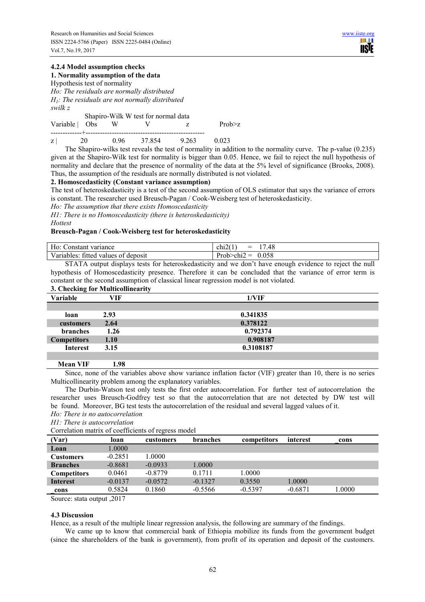## **4.2.4 Model assumption checks 1. Normality assumption of the data**

Hypothesis test of normality

*Ho: The residuals are normally distributed H1: The residuals are not normally distributed swilk z* 

Shapiro-Wilk W test for normal data

-------------+--------------------------------------------------

Variable  $\begin{array}{ccc} \text{Obs} & \text{W} & \text{V} & \text{Z} & \text{Prob} \geq \text{Z} \end{array}$ 

z | 20 0.96 37.854 9.263 0.023

The Shapiro-wilks test reveals the test of normality in addition to the normality curve. The p-value (0.235) given at the Shapiro-Wilk test for normality is bigger than 0.05. Hence, we fail to reject the null hypothesis of normality and declare that the presence of normality of the data at the 5% level of significance (Brooks, 2008). Thus, the assumption of the residuals are normally distributed is not violated.

## **2. Homoscedasticity (Constant variance assumption)**

The test of heteroskedasticity is a test of the second assumption of OLS estimator that says the variance of errors is constant. The researcher used Breusch-Pagan / Cook-Weisberg test of heteroskedasticity.

*Ho: The assumption that there exists Homoscedasticity* 

*H1: There is no Homoscedasticity (there is heteroskedasticity) Hottest* 

# **Breusch-Pagan / Cook-Weisberg test for heteroskedasticity**

| $-1$<br>H0:<br>variance<br>tonstant | $\cdot$ $\sim$ $\cdot$ $\cdot$<br>$1 -$<br>.48<br>$=$<br>chi2t |
|-------------------------------------|----------------------------------------------------------------|
| Variables:                          | Prob <sub>z</sub>                                              |
| deposit                             | 0.058                                                          |
| fiffed                              | $\sim$ $\sim$ $\sim$                                           |
| O1                                  |                                                                |
| values                              | _                                                              |

STATA output displays tests for heteroskedasticity and we don't have enough evidence to reject the null hypothesis of Homoscedasticity presence. Therefore it can be concluded that the variance of error term is constant or the second assumption of classical linear regression model is not violated.

| 3. Checking for Multicollinearity |      |           |  |  |  |
|-----------------------------------|------|-----------|--|--|--|
| Variable                          | VIF  | 1/VIF     |  |  |  |
|                                   |      |           |  |  |  |
| loan                              | 2.93 | 0.341835  |  |  |  |
| customers                         | 2.64 | 0.378122  |  |  |  |
| branches                          | 1.26 | 0.792374  |  |  |  |
| <b>Competitors</b>                | 1.10 | 0.908187  |  |  |  |
| <b>Interest</b>                   | 3.15 | 0.3108187 |  |  |  |
|                                   |      |           |  |  |  |

 **Mean VIF 1.98** 

Since, none of the variables above show variance inflation factor (VIF) greater than 10, there is no series Multicollinearity problem among the explanatory variables.

The Durbin-Watson test only tests the first order autocorrelation. For further test of autocorrelation the researcher uses Breusch-Godfrey test so that the autocorrelation that are not detected by DW test will be found. Moreover, BG test tests the autocorrelation of the residual and several lagged values of it.

*Ho: There is no autocorrelation* 

*H1: There is autocorrelation* 

Correlation matrix of coefficients of regress model

| (Var)              | loan      | customers | branches  | competitors | interest  | cons   |
|--------------------|-----------|-----------|-----------|-------------|-----------|--------|
| Loan               | 1.0000    |           |           |             |           |        |
| <b>Customers</b>   | $-0.2851$ | .0000     |           |             |           |        |
| <b>Branches</b>    | $-0.8681$ | $-0.0933$ | 1.0000    |             |           |        |
| <b>Competitors</b> | 0.0461    | $-0.8779$ | 0.1711    | 1.0000      |           |        |
| <b>Interest</b>    | $-0.0137$ | $-0.0572$ | $-0.1327$ | 0.3550      | 1.0000    |        |
| cons               | 0.5824    | 0.1860    | $-0.5566$ | $-0.5397$   | $-0.6871$ | 1.0000 |
|                    | - - - -   |           |           |             |           |        |

Source: stata output ,2017

## **4.3 Discussion**

Hence, as a result of the multiple linear regression analysis, the following are summary of the findings.

We came up to know that commercial bank of Ethiopia mobilize its funds from the government budget (since the shareholders of the bank is government), from profit of its operation and deposit of the customers.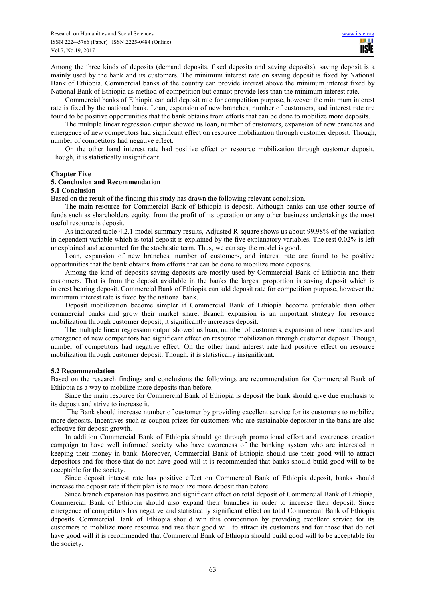Among the three kinds of deposits (demand deposits, fixed deposits and saving deposits), saving deposit is a mainly used by the bank and its customers. The minimum interest rate on saving deposit is fixed by National Bank of Ethiopia. Commercial banks of the country can provide interest above the minimum interest fixed by National Bank of Ethiopia as method of competition but cannot provide less than the minimum interest rate.

Commercial banks of Ethiopia can add deposit rate for competition purpose, however the minimum interest rate is fixed by the national bank. Loan, expansion of new branches, number of customers, and interest rate are found to be positive opportunities that the bank obtains from efforts that can be done to mobilize more deposits.

The multiple linear regression output showed us loan, number of customers, expansion of new branches and emergence of new competitors had significant effect on resource mobilization through customer deposit. Though, number of competitors had negative effect.

On the other hand interest rate had positive effect on resource mobilization through customer deposit. Though, it is statistically insignificant.

#### **Chapter Five**

#### **5. Conclusion and Recommendation**

#### **5.1 Conclusion**

Based on the result of the finding this study has drawn the following relevant conclusion.

The main resource for Commercial Bank of Ethiopia is deposit. Although banks can use other source of funds such as shareholders equity, from the profit of its operation or any other business undertakings the most useful resource is deposit.

As indicated table 4.2.1 model summary results, Adjusted R-square shows us about 99.98% of the variation in dependent variable which is total deposit is explained by the five explanatory variables. The rest 0.02% is left unexplained and accounted for the stochastic term. Thus, we can say the model is good.

Loan, expansion of new branches, number of customers, and interest rate are found to be positive opportunities that the bank obtains from efforts that can be done to mobilize more deposits.

Among the kind of deposits saving deposits are mostly used by Commercial Bank of Ethiopia and their customers. That is from the deposit available in the banks the largest proportion is saving deposit which is interest bearing deposit. Commercial Bank of Ethiopia can add deposit rate for competition purpose, however the minimum interest rate is fixed by the national bank.

Deposit mobilization become simpler if Commercial Bank of Ethiopia become preferable than other commercial banks and grow their market share. Branch expansion is an important strategy for resource mobilization through customer deposit, it significantly increases deposit.

The multiple linear regression output showed us loan, number of customers, expansion of new branches and emergence of new competitors had significant effect on resource mobilization through customer deposit. Though, number of competitors had negative effect. On the other hand interest rate had positive effect on resource mobilization through customer deposit. Though, it is statistically insignificant.

## **5.2 Recommendation**

Based on the research findings and conclusions the followings are recommendation for Commercial Bank of Ethiopia as a way to mobilize more deposits than before.

Since the main resource for Commercial Bank of Ethiopia is deposit the bank should give due emphasis to its deposit and strive to increase it.

 The Bank should increase number of customer by providing excellent service for its customers to mobilize more deposits. Incentives such as coupon prizes for customers who are sustainable depositor in the bank are also effective for deposit growth.

In addition Commercial Bank of Ethiopia should go through promotional effort and awareness creation campaign to have well informed society who have awareness of the banking system who are interested in keeping their money in bank. Moreover, Commercial Bank of Ethiopia should use their good will to attract depositors and for those that do not have good will it is recommended that banks should build good will to be acceptable for the society.

Since deposit interest rate has positive effect on Commercial Bank of Ethiopia deposit, banks should increase the deposit rate if their plan is to mobilize more deposit than before.

Since branch expansion has positive and significant effect on total deposit of Commercial Bank of Ethiopia, Commercial Bank of Ethiopia should also expand their branches in order to increase their deposit. Since emergence of competitors has negative and statistically significant effect on total Commercial Bank of Ethiopia deposits. Commercial Bank of Ethiopia should win this competition by providing excellent service for its customers to mobilize more resource and use their good will to attract its customers and for those that do not have good will it is recommended that Commercial Bank of Ethiopia should build good will to be acceptable for the society.